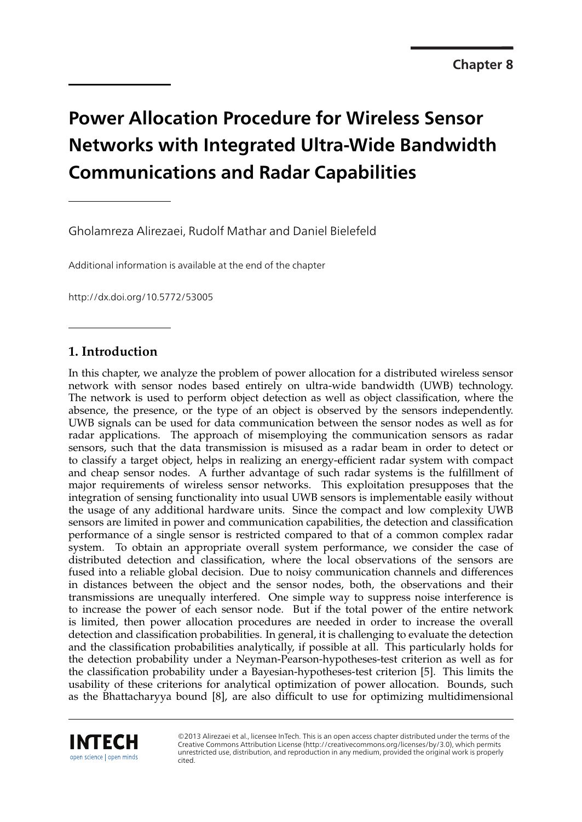# **Power Allocation Procedure for Wireless Sensor Networks with Integrated Ultra-Wide Bandwidth Communications and Radar Capabilities**

Gholamreza Alirezaei, Rudolf Mathar and Daniel Bielefeld

Additional information is available at the end of the chapter

http://dx.doi.org/10.5772/53005

# **1. Introduction**

In this chapter, we analyze the problem of power allocation for a distributed wireless sensor network with sensor nodes based entirely on ultra-wide bandwidth (UWB) technology. The network is used to perform object detection as well as object classification, where the absence, the presence, or the type of an object is observed by the sensors independently. UWB signals can be used for data communication between the sensor nodes as well as for radar applications. The approach of misemploying the communication sensors as radar sensors, such that the data transmission is misused as a radar beam in order to detect or to classify a target object, helps in realizing an energy-efficient radar system with compact and cheap sensor nodes. A further advantage of such radar systems is the fulfillment of major requirements of wireless sensor networks. This exploitation presupposes that the integration of sensing functionality into usual UWB sensors is implementable easily without the usage of any additional hardware units. Since the compact and low complexity UWB sensors are limited in power and communication capabilities, the detection and classification performance of a single sensor is restricted compared to that of a common complex radar system. To obtain an appropriate overall system performance, we consider the case of distributed detection and classification, where the local observations of the sensors are fused into a reliable global decision. Due to noisy communication channels and differences in distances between the object and the sensor nodes, both, the observations and their transmissions are unequally interfered. One simple way to suppress noise interference is to increase the power of each sensor node. But if the total power of the entire network is limited, then power allocation procedures are needed in order to increase the overall detection and classification probabilities. In general, it is challenging to evaluate the detection and the classification probabilities analytically, if possible at all. This particularly holds for the detection probability under a Neyman-Pearson-hypotheses-test criterion as well as for the classification probability under a Bayesian-hypotheses-test criterion [5]. This limits the usability of these criterions for analytical optimization of power allocation. Bounds, such as the Bhattacharyya bound [8], are also difficult to use for optimizing multidimensional



©2013 Alirezaei et al., licensee InTech. This is an open access chapter distributed under the terms of the Creative Commons Attribution License (http://creativecommons.org/licenses/by/3.0), which permits unrestricted use, distribution, and reproduction in any medium, provided the original work is properly cited.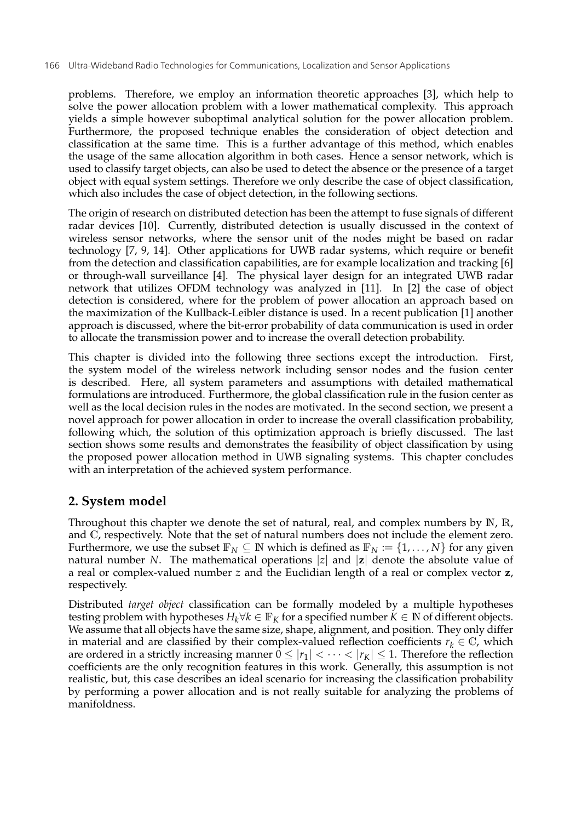problems. Therefore, we employ an information theoretic approaches [3], which help to solve the power allocation problem with a lower mathematical complexity. This approach yields a simple however suboptimal analytical solution for the power allocation problem. Furthermore, the proposed technique enables the consideration of object detection and classification at the same time. This is a further advantage of this method, which enables the usage of the same allocation algorithm in both cases. Hence a sensor network, which is used to classify target objects, can also be used to detect the absence or the presence of a target object with equal system settings. Therefore we only describe the case of object classification, which also includes the case of object detection, in the following sections.

The origin of research on distributed detection has been the attempt to fuse signals of different radar devices [10]. Currently, distributed detection is usually discussed in the context of wireless sensor networks, where the sensor unit of the nodes might be based on radar technology [7, 9, 14]. Other applications for UWB radar systems, which require or benefit from the detection and classification capabilities, are for example localization and tracking [6] or through-wall surveillance [4]. The physical layer design for an integrated UWB radar network that utilizes OFDM technology was analyzed in [11]. In [2] the case of object detection is considered, where for the problem of power allocation an approach based on the maximization of the Kullback-Leibler distance is used. In a recent publication [1] another approach is discussed, where the bit-error probability of data communication is used in order to allocate the transmission power and to increase the overall detection probability.

This chapter is divided into the following three sections except the introduction. First, the system model of the wireless network including sensor nodes and the fusion center is described. Here, all system parameters and assumptions with detailed mathematical formulations are introduced. Furthermore, the global classification rule in the fusion center as well as the local decision rules in the nodes are motivated. In the second section, we present a novel approach for power allocation in order to increase the overall classification probability, following which, the solution of this optimization approach is briefly discussed. The last section shows some results and demonstrates the feasibility of object classification by using the proposed power allocation method in UWB signaling systems. This chapter concludes with an interpretation of the achieved system performance.

## **2. System model**

Throughout this chapter we denote the set of natural, real, and complex numbers by  $\mathbb{N}$ ,  $\mathbb{R}$ , and C, respectively. Note that the set of natural numbers does not include the element zero. Furthermore, we use the subset  $\mathbb{F}_N \subseteq \mathbb{N}$  which is defined as  $\mathbb{F}_N := \{1, \ldots, N\}$  for any given natural number *N*. The mathematical operations |*z*| and |**z**| denote the absolute value of a real or complex-valued number *z* and the Euclidian length of a real or complex vector **z**, respectively.

Distributed *target object* classification can be formally modeled by a multiple hypotheses testing problem with hypotheses  $H_k \forall k \in \mathbb{F}_K$  for a specified number  $K \in \mathbb{N}$  of different objects. We assume that all objects have the same size, shape, alignment, and position. They only differ in material and are classified by their complex-valued reflection coefficients  $r_k \in \mathbb{C}$ , which are ordered in a strictly increasing manner  $0 \leq |r_1| < \cdots < |r_K| \leq 1$ . Therefore the reflection coefficients are the only recognition features in this work. Generally, this assumption is not realistic, but, this case describes an ideal scenario for increasing the classification probability by performing a power allocation and is not really suitable for analyzing the problems of manifoldness.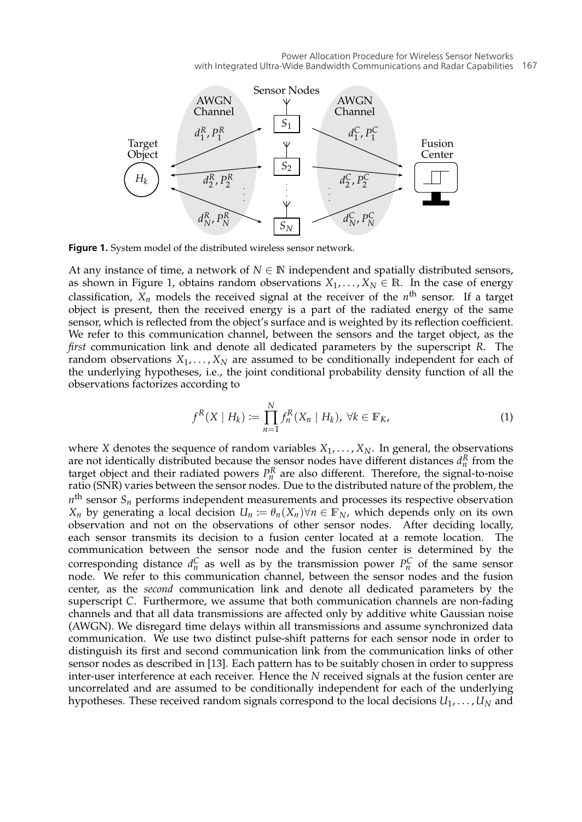with Integrated Ultra-Wide Bandwidth Communications and Radar Capabilities 167 Power Allocation Procedure for Wireless Sensor Networks



**Figure 1.** System model of the distributed wireless sensor network.

At any instance of time, a network of  $N \in \mathbb{N}$  independent and spatially distributed sensors, as shown in Figure 1, obtains random observations  $X_1, \ldots, X_N \in \mathbb{R}$ . In the case of energy classification,  $X_n$  models the received signal at the receiver of the  $n<sup>th</sup>$  sensor. If a target object is present, then the received energy is a part of the radiated energy of the same sensor, which is reflected from the object's surface and is weighted by its reflection coefficient. We refer to this communication channel, between the sensors and the target object, as the *first* communication link and denote all dedicated parameters by the superscript *R*. The random observations  $X_1, \ldots, X_N$  are assumed to be conditionally independent for each of the underlying hypotheses, i.e., the joint conditional probability density function of all the observations factorizes according to

$$
f^{R}(X \mid H_{k}) := \prod_{n=1}^{N} f_{n}^{R}(X_{n} \mid H_{k}), \ \forall k \in \mathbb{F}_{K}, \tag{1}
$$

where *X* denotes the sequence of random variables  $X_1, \ldots, X_N$ . In general, the observations are not identically distributed because the sensor nodes have different distances  $d_n^R$  from the target object and their radiated powers  $P_n^R$  are also different. Therefore, the signal-to-noise ratio (SNR) varies between the sensor nodes. Due to the distributed nature of the problem, the  $n<sup>th</sup>$  sensor  $S_n$  performs independent measurements and processes its respective observation  $X_n$  by generating a local decision  $U_n := \theta_n(X_n) \forall n \in \mathbb{F}_N$ , which depends only on its own observation and not on the observations of other sensor nodes. After deciding locally, each sensor transmits its decision to a fusion center located at a remote location. The communication between the sensor node and the fusion center is determined by the corresponding distance  $d_n^C$  as well as by the transmission power  $P_n^C$  of the same sensor node. We refer to this communication channel, between the sensor nodes and the fusion center, as the *second* communication link and denote all dedicated parameters by the superscript *C*. Furthermore, we assume that both communication channels are non-fading channels and that all data transmissions are affected only by additive white Gaussian noise (AWGN). We disregard time delays within all transmissions and assume synchronized data communication. We use two distinct pulse-shift patterns for each sensor node in order to distinguish its first and second communication link from the communication links of other sensor nodes as described in [13]. Each pattern has to be suitably chosen in order to suppress inter-user interference at each receiver. Hence the *N* received signals at the fusion center are uncorrelated and are assumed to be conditionally independent for each of the underlying hypotheses. These received random signals correspond to the local decisions *U*1,..., *UN* and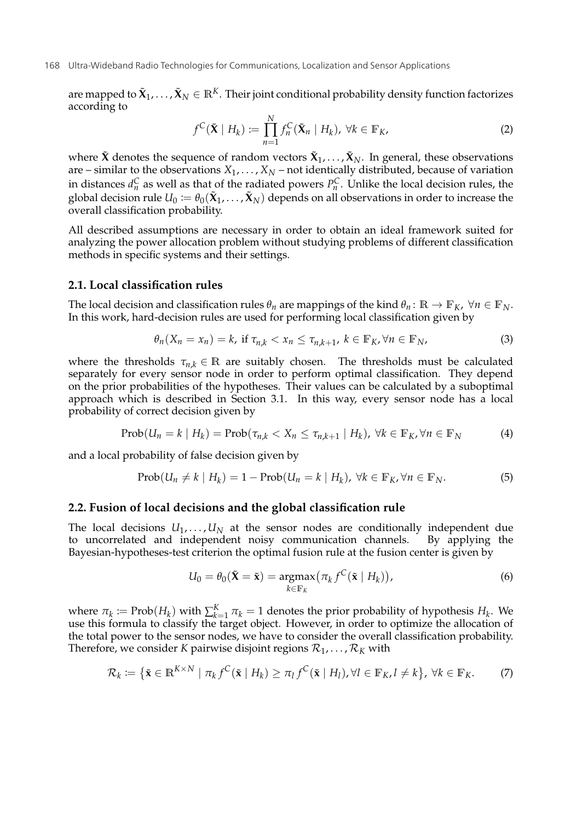are mapped to  $\tilde{\mathbf{X}}_1,\ldots,\tilde{\mathbf{X}}_N\in\mathbb{R}^K$ . Their joint conditional probability density function factorizes according to

$$
f^{C}(\tilde{\mathbf{X}} \mid H_{k}) \coloneqq \prod_{n=1}^{N} f_{n}^{C}(\tilde{\mathbf{X}}_{n} \mid H_{k}), \ \forall k \in \mathbb{F}_{K},
$$
\n(2)

where  $\tilde{X}$  denotes the sequence of random vectors  $\tilde{X}_1, \ldots, \tilde{X}_N$ . In general, these observations are – similar to the observations  $X_1, \ldots, X_N$  – not identically distributed, because of variation in distances  $d_n^C$  as well as that of the radiated powers  $P_n^C$ . Unlike the local decision rules, the global decision rule  $U_0 := \theta_0(\tilde{X}_1, \ldots, \tilde{X}_N)$  depends on all observations in order to increase the overall classification probability.

All described assumptions are necessary in order to obtain an ideal framework suited for analyzing the power allocation problem without studying problems of different classification methods in specific systems and their settings.

#### **2.1. Local classification rules**

The local decision and classification rules  $\theta_n$  are mappings of the kind  $\theta_n : \mathbb{R} \to \mathbb{F}_K$ ,  $\forall n \in \mathbb{F}_N$ . In this work, hard-decision rules are used for performing local classification given by

$$
\theta_n(X_n = x_n) = k, \text{ if } \tau_{n,k} < x_n \leq \tau_{n,k+1}, \ k \in \mathbb{F}_K, \forall n \in \mathbb{F}_N. \tag{3}
$$

where the thresholds  $\tau_{n,k} \in \mathbb{R}$  are suitably chosen. The thresholds must be calculated separately for every sensor node in order to perform optimal classification. They depend on the prior probabilities of the hypotheses. Their values can be calculated by a suboptimal approach which is described in Section 3.1. In this way, every sensor node has a local probability of correct decision given by

$$
Prob(U_n = k | H_k) = Prob(\tau_{n,k} < X_n \le \tau_{n,k+1} | H_k), \ \forall k \in \mathbb{F}_K, \forall n \in \mathbb{F}_N \tag{4}
$$

and a local probability of false decision given by

$$
Prob(U_n \neq k \mid H_k) = 1 - Prob(U_n = k \mid H_k), \ \forall k \in \mathbb{F}_K, \forall n \in \mathbb{F}_N. \tag{5}
$$

#### **2.2. Fusion of local decisions and the global classification rule**

The local decisions  $U_1, \ldots, U_N$  at the sensor nodes are conditionally independent due to uncorrelated and independent noisy communication channels. By applying the to uncorrelated and independent noisy communication channels. Bayesian-hypotheses-test criterion the optimal fusion rule at the fusion center is given by

$$
U_0 = \theta_0(\tilde{\mathbf{X}} = \tilde{\mathbf{x}}) = \underset{k \in \mathbb{F}_k}{\text{argmax}} (\pi_k f^C(\tilde{\mathbf{x}} \mid H_k)),
$$
\n(6)

where  $\pi_k := \text{Prob}(H_k)$  with  $\sum_{k=1}^K \pi_k = 1$  denotes the prior probability of hypothesis  $H_k$ . We use this formula to classify the target object. However, in order to optimize the allocation of the total power to the sensor nodes, we have to consider the overall classification probability. Therefore, we consider *K* pairwise disjoint regions  $\mathcal{R}_1, \ldots, \mathcal{R}_K$  with

$$
\mathcal{R}_k := \{ \tilde{\mathbf{x}} \in \mathbb{R}^{K \times N} \mid \pi_k f^C(\tilde{\mathbf{x}} \mid H_k) \geq \pi_l f^C(\tilde{\mathbf{x}} \mid H_l), \forall l \in \mathbb{F}_K, l \neq k \}, \forall k \in \mathbb{F}_K. \tag{7}
$$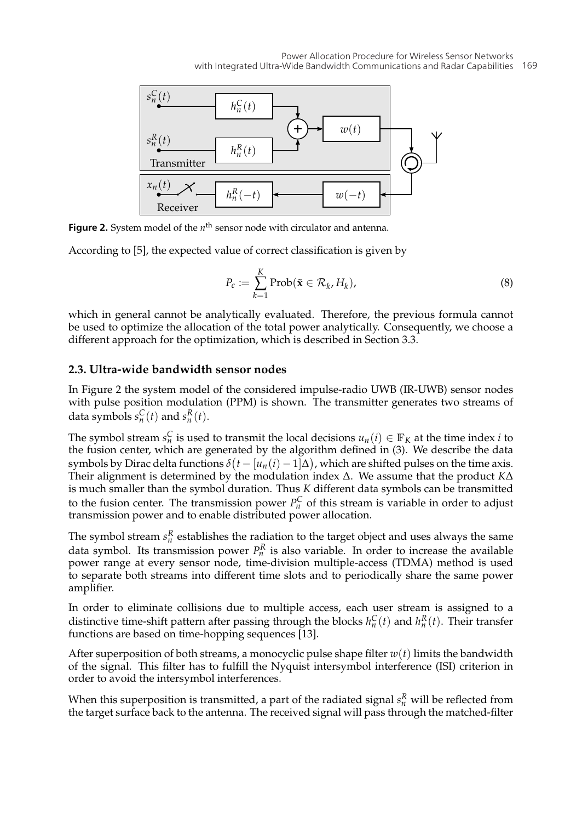with Integrated Ultra-Wide Bandwidth Communications and Radar Capabilities 169 Power Allocation Procedure for Wireless Sensor Networks



**Figure 2.** System model of the *n*<sup>th</sup> sensor node with circulator and antenna.

According to [5], the expected value of correct classification is given by

$$
P_c := \sum_{k=1}^{K} \text{Prob}(\tilde{\mathbf{x}} \in \mathcal{R}_k, H_k), \tag{8}
$$

which in general cannot be analytically evaluated. Therefore, the previous formula cannot be used to optimize the allocation of the total power analytically. Consequently, we choose a different approach for the optimization, which is described in Section 3.3.

## **2.3. Ultra-wide bandwidth sensor nodes**

In Figure 2 the system model of the considered impulse-radio UWB (IR-UWB) sensor nodes with pulse position modulation (PPM) is shown. The transmitter generates two streams of data symbols  $s_n^C(t)$  and  $s_n^R(t)$ .

The symbol stream  $s_n^C$  is used to transmit the local decisions  $u_n(i) \in \mathbb{F}_K$  at the time index *i* to the fusion center, which are generated by the algorithm defined in (3). We describe the data symbols by Dirac delta functions  $\delta\big(t-[u_n(i)-1]\Delta\big)$ , which are shifted pulses on the time axis. Their alignment is determined by the modulation index Δ. We assume that the product *K*Δ is much smaller than the symbol duration. Thus *K* different data symbols can be transmitted to the fusion center. The transmission power  $P_n^C$  of this stream is variable in order to adjust transmission power and to enable distributed power allocation.

The symbol stream  $s_n^R$  establishes the radiation to the target object and uses always the same data symbol. Its transmission power  $P_n^R$  is also variable. In order to increase the available power range at every sensor node, time-division multiple-access (TDMA) method is used to separate both streams into different time slots and to periodically share the same power amplifier.

In order to eliminate collisions due to multiple access, each user stream is assigned to a distinctive time-shift pattern after passing through the blocks  $h_n^C(t)$  and  $h_n^R(t)$ . Their transfer functions are based on time-hopping sequences [13].

After superposition of both streams, a monocyclic pulse shape filter *w*(*t*) limits the bandwidth of the signal. This filter has to fulfill the Nyquist intersymbol interference (ISI) criterion in order to avoid the intersymbol interferences.

When this superposition is transmitted, a part of the radiated signal  $s_n^R$  will be reflected from the target surface back to the antenna. The received signal will pass through the matched-filter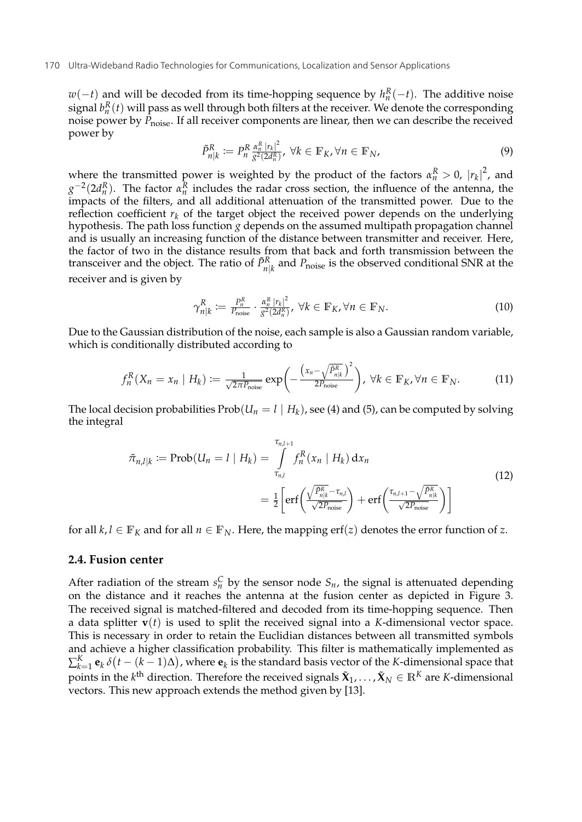*w*(−*t*) and will be decoded from its time-hopping sequence by  $h_n^R(-t)$ . The additive noise signal  $b_n^R(t)$  will pass as well through both filters at the receiver. We denote the corresponding noise power by  $\hat{P}_{noise}$ . If all receiver components are linear, then we can describe the received power by

$$
\tilde{P}_{n|k}^R := P_n^R \frac{\alpha_n^R \mid r_k \mid^2}{g^2(2d_n^R)}, \ \forall k \in \mathbb{F}_K, \forall n \in \mathbb{F}_N,
$$
\n
$$
(9)
$$

where the transmitted power is weighted by the product of the factors  $\alpha_n^R > 0$ ,  $|r_k|^2$ , and  $g^{-2}(2d_n^R)$ . The factor  $\alpha_n^R$  includes the radar cross section, the influence of the antenna, the impacts of the filters, and all additional attenuation of the transmitted power. Due to the reflection coefficient  $r_k$  of the target object the received power depends on the underlying hypothesis. The path loss function *g* depends on the assumed multipath propagation channel and is usually an increasing function of the distance between transmitter and receiver. Here, the factor of two in the distance results from that back and forth transmission between the transceiver and the object. The ratio of  $\tilde{P}^R_{n|k}$  and  $P_{\text{noise}}$  is the observed conditional SNR at the receiver and is given by

$$
\gamma_{n|k}^R := \frac{P_n^R}{P_{\text{noise}}} \cdot \frac{\alpha_n^R |r_k|^2}{g^2 (2d_n^R)}, \ \forall k \in \mathbb{F}_K, \forall n \in \mathbb{F}_N. \tag{10}
$$

Due to the Gaussian distribution of the noise, each sample is also a Gaussian random variable, which is conditionally distributed according to

$$
f_n^R(X_n = x_n \mid H_k) := \frac{1}{\sqrt{2\pi P_{\text{noise}}}} \exp\left(-\frac{\left(x_n - \sqrt{\tilde{P}_{n|k}^R}\right)^2}{2P_{\text{noise}}}\right), \ \forall k \in \mathbb{F}_K, \forall n \in \mathbb{F}_N. \tag{11}
$$

The local decision probabilities  $Prob(U_n = l | H_k)$ , see (4) and (5), can be computed by solving the integral

$$
\tilde{\pi}_{n,l|k} := \text{Prob}(U_n = l \mid H_k) = \int_{\tau_{n,l}}^{\tau_{n,l+1}} f_n^R(x_n \mid H_k) dx_n
$$
\n
$$
= \frac{1}{2} \left[ \text{erf}\left(\frac{\sqrt{\frac{\tilde{P}_{n,k}^R}{\tau_{n,l}}} - \tau_{n,l}}{\sqrt{2P_{\text{noise}}}}\right) + \text{erf}\left(\frac{\tau_{n,l+1} - \sqrt{\tilde{P}_{n|k}^R}}{\sqrt{2P_{\text{noise}}}}\right) \right]
$$
\n(12)

for all  $k, l \in \mathbb{F}_K$  and for all  $n \in \mathbb{F}_N$ . Here, the mapping erf(*z*) denotes the error function of *z*.

#### **2.4. Fusion center**

After radiation of the stream  $s_n^C$  by the sensor node  $S_n$ , the signal is attenuated depending on the distance and it reaches the antenna at the fusion center as depicted in Figure 3. The received signal is matched-filtered and decoded from its time-hopping sequence. Then a data splitter  $\mathbf{v}(t)$  is used to split the received signal into a *K*-dimensional vector space. This is necessary in order to retain the Euclidian distances between all transmitted symbols and achieve a higher classification probability. This filter is mathematically implemented as  $\sum_{k=1}^{K}$  **e**<sub>*k*</sub>  $\delta(t - (k-1)\Delta)$ , where **e**<sub>*k*</sub> is the standard basis vector of the *K*-dimensional space that points in the *k*<sup>th</sup> direction. Therefore the received signals  $\tilde{\mathbf{X}}_1, \ldots, \tilde{\mathbf{X}}_N \in \mathbb{R}^K$  are *K*-dimensional vectors. This new approach extends the method given by [13].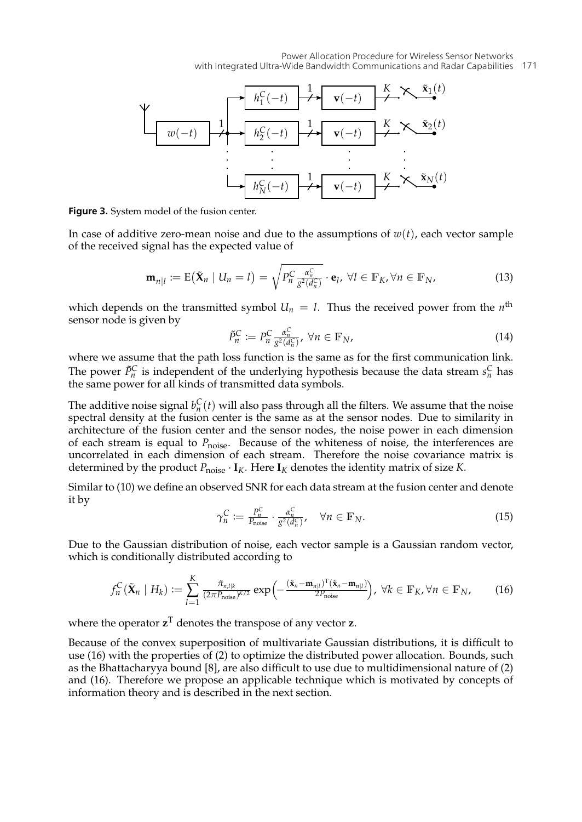Power Allocation Procedure for Wireless Sensor Networks

with Integrated Ultra-Wide Bandwidth Communications and Radar Capabilities 171



**Figure 3.** System model of the fusion center.

In case of additive zero-mean noise and due to the assumptions of  $w(t)$ , each vector sample of the received signal has the expected value of

$$
\mathbf{m}_{n|l} \coloneqq \mathrm{E}\big(\tilde{\mathbf{X}}_n \mid U_n = l\big) = \sqrt{P_n^C \frac{\alpha_n^C}{g^2(d_n^C)}} \cdot \mathbf{e}_l, \ \forall l \in \mathbb{F}_K, \forall n \in \mathbb{F}_N,
$$
\n(13)

which depends on the transmitted symbol  $U_n = l$ . Thus the received power from the *n*<sup>th</sup> sensor node is given by

$$
\tilde{P}_n^C := P_n^C \frac{\alpha_n^C}{g^2(d_n^C)}, \ \forall n \in \mathbb{F}_N,\tag{14}
$$

where we assume that the path loss function is the same as for the first communication link. The power  $\tilde{P}_n^C$  is independent of the underlying hypothesis because the data stream  $s_n^C$  has the same power for all kinds of transmitted data symbols.

The additive noise signal  $b_n^C(t)$  will also pass through all the filters. We assume that the noise spectral density at the fusion center is the same as at the sensor nodes. Due to similarity in architecture of the fusion center and the sensor nodes, the noise power in each dimension of each stream is equal to *P*<sub>noise</sub>. Because of the whiteness of noise, the interferences are uncorrelated in each dimension of each stream. Therefore the noise covariance matrix is determined by the product  $P_{noise} \cdot I_K$ . Here  $I_K$  denotes the identity matrix of size *K*.

Similar to (10) we define an observed SNR for each data stream at the fusion center and denote it by

$$
\gamma_n^C := \frac{P_n^C}{P_{\text{noise}}} \cdot \frac{\alpha_n^C}{g^2(d_n^C)}, \quad \forall n \in \mathbb{F}_N. \tag{15}
$$

Due to the Gaussian distribution of noise, each vector sample is a Gaussian random vector, which is conditionally distributed according to

$$
f_n^C(\mathbf{\tilde{X}}_n \mid H_k) := \sum_{l=1}^K \frac{\tilde{\pi}_{n,l|k}}{(2\pi P_{\text{noise}})^{K/2}} \exp\left(-\frac{(\mathbf{\tilde{x}}_n - \mathbf{m}_{n|l})^T (\mathbf{\tilde{x}}_n - \mathbf{m}_{n|l})}{2P_{\text{noise}}}\right), \ \forall k \in \mathbb{F}_K, \forall n \in \mathbb{F}_N,
$$
 (16)

where the operator  $z^T$  denotes the transpose of any vector  $z$ .

Because of the convex superposition of multivariate Gaussian distributions, it is difficult to use (16) with the properties of (2) to optimize the distributed power allocation. Bounds, such as the Bhattacharyya bound [8], are also difficult to use due to multidimensional nature of (2) and (16). Therefore we propose an applicable technique which is motivated by concepts of information theory and is described in the next section.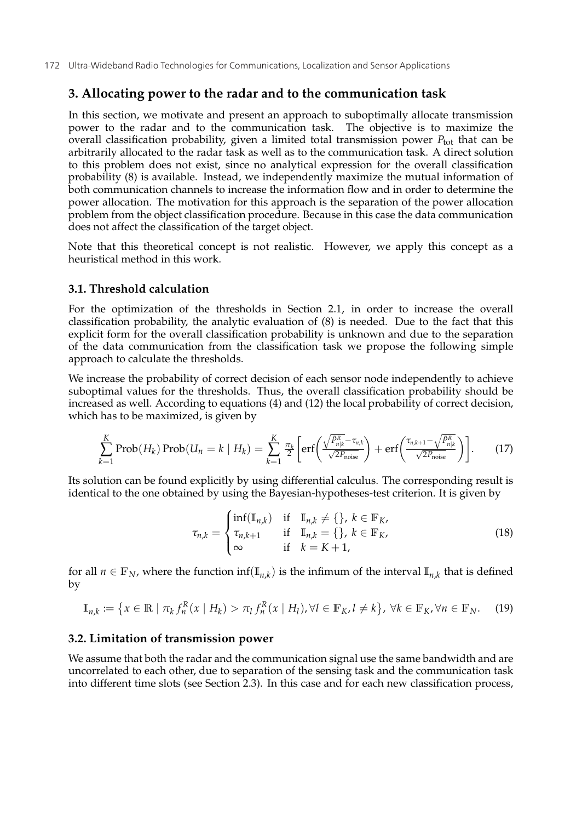## **3. Allocating power to the radar and to the communication task**

In this section, we motivate and present an approach to suboptimally allocate transmission power to the radar and to the communication task. The objective is to maximize the overall classification probability, given a limited total transmission power *P*<sub>tot</sub> that can be arbitrarily allocated to the radar task as well as to the communication task. A direct solution to this problem does not exist, since no analytical expression for the overall classification probability (8) is available. Instead, we independently maximize the mutual information of both communication channels to increase the information flow and in order to determine the power allocation. The motivation for this approach is the separation of the power allocation problem from the object classification procedure. Because in this case the data communication does not affect the classification of the target object.

Note that this theoretical concept is not realistic. However, we apply this concept as a heuristical method in this work.

#### **3.1. Threshold calculation**

For the optimization of the thresholds in Section 2.1, in order to increase the overall classification probability, the analytic evaluation of (8) is needed. Due to the fact that this explicit form for the overall classification probability is unknown and due to the separation of the data communication from the classification task we propose the following simple approach to calculate the thresholds.

We increase the probability of correct decision of each sensor node independently to achieve suboptimal values for the thresholds. Thus, the overall classification probability should be increased as well. According to equations (4) and (12) the local probability of correct decision, which has to be maximized, is given by

$$
\sum_{k=1}^{K} \operatorname{Prob}(H_k) \operatorname{Prob}(U_n = k \mid H_k) = \sum_{k=1}^{K} \frac{\pi_k}{2} \left[ \operatorname{erf}\left(\frac{\sqrt{\frac{\bar{p}_k}{n_{1k}} - \tau_{n,k}}}{\sqrt{2P_{\text{noise}}}}\right) + \operatorname{erf}\left(\frac{\tau_{n_{k+1}} - \sqrt{\frac{\bar{p}_k}{n_{1k}}}}{\sqrt{2P_{\text{noise}}}}\right) \right].
$$
 (17)

Its solution can be found explicitly by using differential calculus. The corresponding result is identical to the one obtained by using the Bayesian-hypotheses-test criterion. It is given by

$$
\tau_{n,k} = \begin{cases}\n\inf(\mathbb{I}_{n,k}) & \text{if } \mathbb{I}_{n,k} \neq \{\}, \, k \in \mathbb{F}_K, \\
\tau_{n,k+1} & \text{if } \mathbb{I}_{n,k} = \{\}, \, k \in \mathbb{F}_K, \\
\infty & \text{if } k = K+1,\n\end{cases} \tag{18}
$$

for all  $n \in \mathbb{F}_N$ , where the function  $\inf(\mathbb{I}_{n,k})$  is the infimum of the interval  $\mathbb{I}_{n,k}$  that is defined by

$$
\mathbb{I}_{n,k} := \left\{ x \in \mathbb{R} \mid \pi_k f_n^R(x \mid H_k) > \pi_l f_n^R(x \mid H_l), \forall l \in \mathbb{F}_K, l \neq k \right\}, \ \forall k \in \mathbb{F}_K, \forall n \in \mathbb{F}_N. \tag{19}
$$

## **3.2. Limitation of transmission power**

We assume that both the radar and the communication signal use the same bandwidth and are uncorrelated to each other, due to separation of the sensing task and the communication task into different time slots (see Section 2.3). In this case and for each new classification process,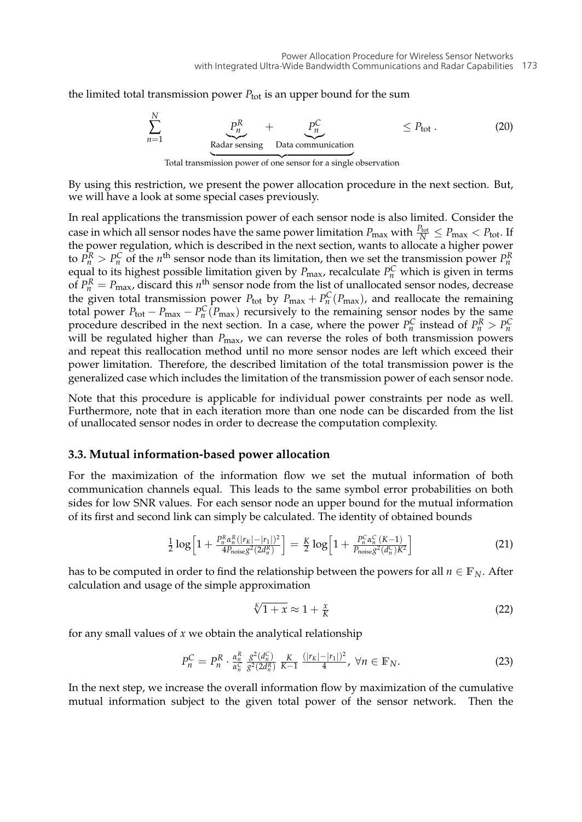the limited total transmission power  $P_{tot}$  is an upper bound for the sum

$$
\sum_{n=1}^{N} \underbrace{P_n^R}_{\text{Radar sensing}} + \underbrace{P_n^C}_{\text{Data communication}} \le P_{\text{tot}}.
$$
 (20)

Total transmission power of one sensor for a single observation

By using this restriction, we present the power allocation procedure in the next section. But, we will have a look at some special cases previously.

In real applications the transmission power of each sensor node is also limited. Consider the case in which all sensor nodes have the same power limitation  $P_{\text{max}}$  with  $\frac{P_{\text{tot}}}{N} \le P_{\text{max}} < P_{\text{tot}}$ . If the power regulation, which is described in the next section, wants to allocate a higher power to  $P_n^R > P_n^C$  of the *n*<sup>th</sup> sensor node than its limitation, then we set the transmission power  $P_n^R$  equal to its highest possible limitation given by  $P_{\text{max}}$ , recalculate  $P_n^C$  which is given in terms of  $P_n^R = P_{\text{max}}$ , discard this  $n^{\text{th}}$  sensor node from the list of unallocated sensor nodes, decrease the given total transmission power  $P_{\text{tot}}$  by  $P_{\text{max}} + P_n^C(P_{\text{max}})$ , and reallocate the remaining total power  $P_{\text{tot}} - P_{\text{max}} - P_n^C (P_{\text{max}})$  recursively to the remaining sensor nodes by the same procedure described in the next section. In a case, where the power  $P_n^C$  instead of  $P_n^R > P_n^C$ will be regulated higher than  $P_{\text{max}}$ , we can reverse the roles of both transmission powers and repeat this reallocation method until no more sensor nodes are left which exceed their power limitation. Therefore, the described limitation of the total transmission power is the generalized case which includes the limitation of the transmission power of each sensor node.

Note that this procedure is applicable for individual power constraints per node as well. Furthermore, note that in each iteration more than one node can be discarded from the list of unallocated sensor nodes in order to decrease the computation complexity.

#### **3.3. Mutual information-based power allocation**

For the maximization of the information flow we set the mutual information of both communication channels equal. This leads to the same symbol error probabilities on both sides for low SNR values. For each sensor node an upper bound for the mutual information of its first and second link can simply be calculated. The identity of obtained bounds

$$
\frac{1}{2}\log\left[1+\frac{P_n^R\alpha_n^R(|r_K|-|r_1|)^2}{4P_{\text{noise}}g^2(2d_n^R)}\right] = \frac{K}{2}\log\left[1+\frac{P_n^C\alpha_n^C(K-1)}{P_{\text{noise}}g^2(d_n^C)K^2}\right]
$$
(21)

has to be computed in order to find the relationship between the powers for all  $n \in \mathbb{F}_N$ . After calculation and usage of the simple approximation

$$
\sqrt[k]{1+x} \approx 1 + \frac{x}{K} \tag{22}
$$

for any small values of *x* we obtain the analytical relationship

$$
P_n^C = P_n^R \cdot \frac{\alpha_n^R}{\alpha_n^C} \frac{g^2(d_n^C)}{g^2(2d_n^R)} \frac{K}{K-1} \frac{(|r_K| - |r_1|)^2}{4}, \ \forall n \in \mathbb{F}_N. \tag{23}
$$

In the next step, we increase the overall information flow by maximization of the cumulative mutual information subject to the given total power of the sensor network. Then the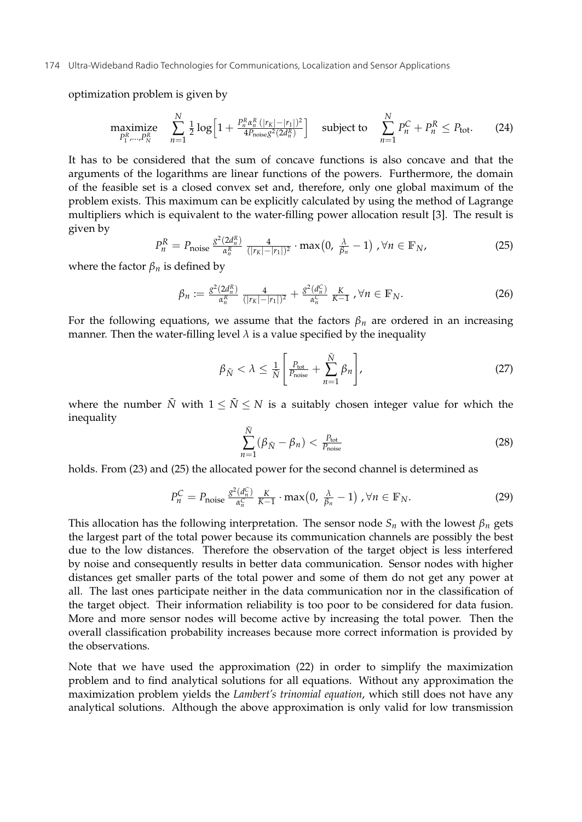optimization problem is given by

$$
\underset{P_1^R,\ldots,P_N^R}{\text{maximize}} \quad \sum_{n=1}^N \frac{1}{2} \log \left[ 1 + \frac{P_n^R \alpha_n^R \ (|r_K| - |r_1|)^2}{4 P_{\text{noise}} g^2 (2d_n^R)} \right] \quad \text{subject to} \quad \sum_{n=1}^N P_n^C + P_n^R \le P_{\text{tot}}.\tag{24}
$$

It has to be considered that the sum of concave functions is also concave and that the arguments of the logarithms are linear functions of the powers. Furthermore, the domain of the feasible set is a closed convex set and, therefore, only one global maximum of the problem exists. This maximum can be explicitly calculated by using the method of Lagrange multipliers which is equivalent to the water-filling power allocation result [3]. The result is given by

$$
P_n^R = P_{\text{noise}} \frac{g^2 (2d_n^R)}{\alpha_n^R} \frac{4}{(|r_K| - |r_1|)^2} \cdot \max\left(0, \frac{\lambda}{\beta_n} - 1\right), \forall n \in \mathbb{F}_N,\tag{25}
$$

where the factor  $\beta_n$  is defined by

$$
\beta_n := \frac{s^2 (2d_n^R)}{\alpha_n^R} \frac{4}{(|r_K| - |r_1|)^2} + \frac{s^2 (d_n^C)}{\alpha_n^C} \frac{K}{K-1}, \forall n \in \mathbb{F}_N. \tag{26}
$$

For the following equations, we assume that the factors  $\beta_n$  are ordered in an increasing manner. Then the water-filling level  $\lambda$  is a value specified by the inequality

$$
\beta_{\tilde{N}} < \lambda \le \frac{1}{\tilde{N}} \left[ \frac{P_{\text{tot}}}{P_{\text{noise}}} + \sum_{n=1}^{\tilde{N}} \beta_n \right],\tag{27}
$$

where the number  $\tilde{N}$  with  $1 \leq \tilde{N} \leq N$  is a suitably chosen integer value for which the inequality

$$
\sum_{n=1}^{\tilde{N}} (\beta_{\tilde{N}} - \beta_n) < \frac{P_{\text{tot}}}{P_{\text{noise}}} \tag{28}
$$

holds. From (23) and (25) the allocated power for the second channel is determined as

$$
P_n^C = P_{\text{noise}} \frac{g^2(d_n^C)}{\alpha_n^C} \frac{K}{K-1} \cdot \max\left(0, \frac{\lambda}{\beta_n} - 1\right), \forall n \in \mathbb{F}_N. \tag{29}
$$

This allocation has the following interpretation. The sensor node  $S_n$  with the lowest  $\beta_n$  gets the largest part of the total power because its communication channels are possibly the best due to the low distances. Therefore the observation of the target object is less interfered by noise and consequently results in better data communication. Sensor nodes with higher distances get smaller parts of the total power and some of them do not get any power at all. The last ones participate neither in the data communication nor in the classification of the target object. Their information reliability is too poor to be considered for data fusion. More and more sensor nodes will become active by increasing the total power. Then the overall classification probability increases because more correct information is provided by the observations.

Note that we have used the approximation (22) in order to simplify the maximization problem and to find analytical solutions for all equations. Without any approximation the maximization problem yields the *Lambert's trinomial equation*, which still does not have any analytical solutions. Although the above approximation is only valid for low transmission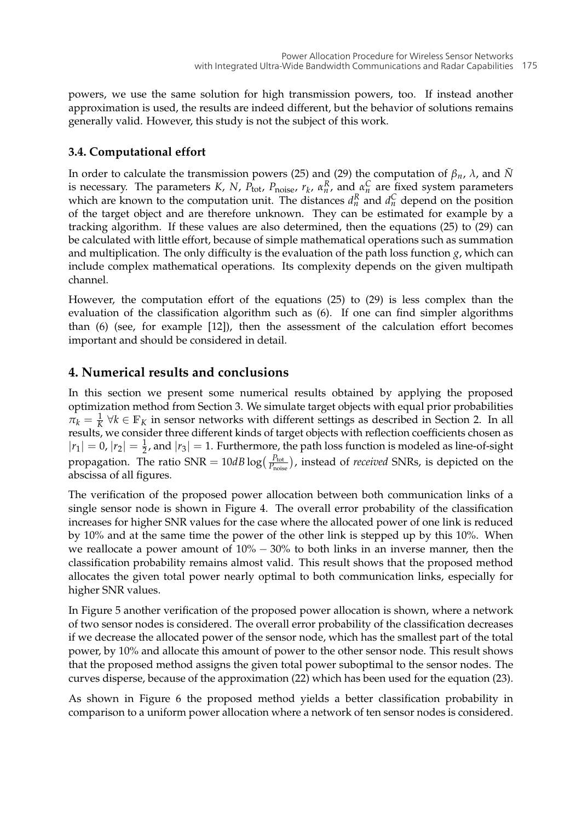powers, we use the same solution for high transmission powers, too. If instead another approximation is used, the results are indeed different, but the behavior of solutions remains generally valid. However, this study is not the subject of this work.

## **3.4. Computational effort**

In order to calculate the transmission powers (25) and (29) the computation of  $β_n$ ,  $λ$ , and  $\tilde{N}$ is necessary. The parameters *K*, *N*,  $P_{\text{tot}}$ ,  $P_{\text{noise}}$ ,  $r_k$ ,  $\alpha_n^R$ , and  $\alpha_n^C$  are fixed system parameters which are known to the computation unit. The distances  $d_n^R$  and  $d_n^C$  depend on the position of the target object and are therefore unknown. They can be estimated for example by a tracking algorithm. If these values are also determined, then the equations (25) to (29) can be calculated with little effort, because of simple mathematical operations such as summation and multiplication. The only difficulty is the evaluation of the path loss function *g*, which can include complex mathematical operations. Its complexity depends on the given multipath channel.

However, the computation effort of the equations (25) to (29) is less complex than the evaluation of the classification algorithm such as (6). If one can find simpler algorithms than (6) (see, for example [12]), then the assessment of the calculation effort becomes important and should be considered in detail.

# **4. Numerical results and conclusions**

In this section we present some numerical results obtained by applying the proposed optimization method from Section 3. We simulate target objects with equal prior probabilities  $\pi_k = \frac{1}{K} \forall k \in \mathbb{F}_K$  in sensor networks with different settings as described in Section 2. In all results, we consider three different kinds of target objects with reflection coefficients chosen as  $|r_1| = 0$ ,  $|r_2| = \frac{1}{2}$ , and  $|r_3| = 1$ . Furthermore, the path loss function is modeled as line-of-sight propagation. The ratio  $SNR = 10$ *dB*  $log(\frac{P_{\text{tot}}}{P_{\text{noise}}})$ , instead of *received* SNRs, is depicted on the abscissa of all figures.

The verification of the proposed power allocation between both communication links of a single sensor node is shown in Figure 4. The overall error probability of the classification increases for higher SNR values for the case where the allocated power of one link is reduced by 10% and at the same time the power of the other link is stepped up by this 10%. When we reallocate a power amount of 10% − 30% to both links in an inverse manner, then the classification probability remains almost valid. This result shows that the proposed method allocates the given total power nearly optimal to both communication links, especially for higher SNR values.

In Figure 5 another verification of the proposed power allocation is shown, where a network of two sensor nodes is considered. The overall error probability of the classification decreases if we decrease the allocated power of the sensor node, which has the smallest part of the total power, by 10% and allocate this amount of power to the other sensor node. This result shows that the proposed method assigns the given total power suboptimal to the sensor nodes. The curves disperse, because of the approximation (22) which has been used for the equation (23).

As shown in Figure 6 the proposed method yields a better classification probability in comparison to a uniform power allocation where a network of ten sensor nodes is considered.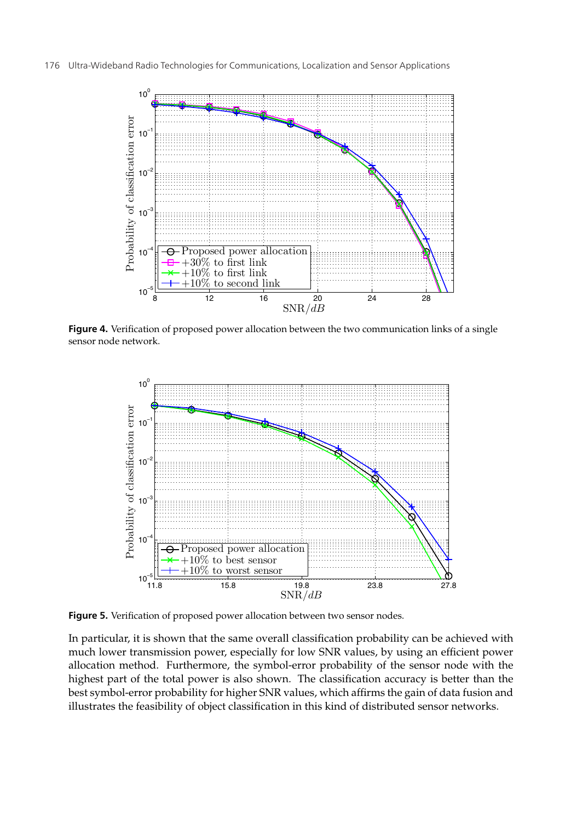176 Ultra-Wideband Radio Technologies for Communications, Localization and Sensor Applications



**Figure 4.** Verification of proposed power allocation between the two communication links of a single sensor node network.



**Figure 5.** Verification of proposed power allocation between two sensor nodes.

In particular, it is shown that the same overall classification probability can be achieved with much lower transmission power, especially for low SNR values, by using an efficient power allocation method. Furthermore, the symbol-error probability of the sensor node with the highest part of the total power is also shown. The classification accuracy is better than the best symbol-error probability for higher SNR values, which affirms the gain of data fusion and illustrates the feasibility of object classification in this kind of distributed sensor networks.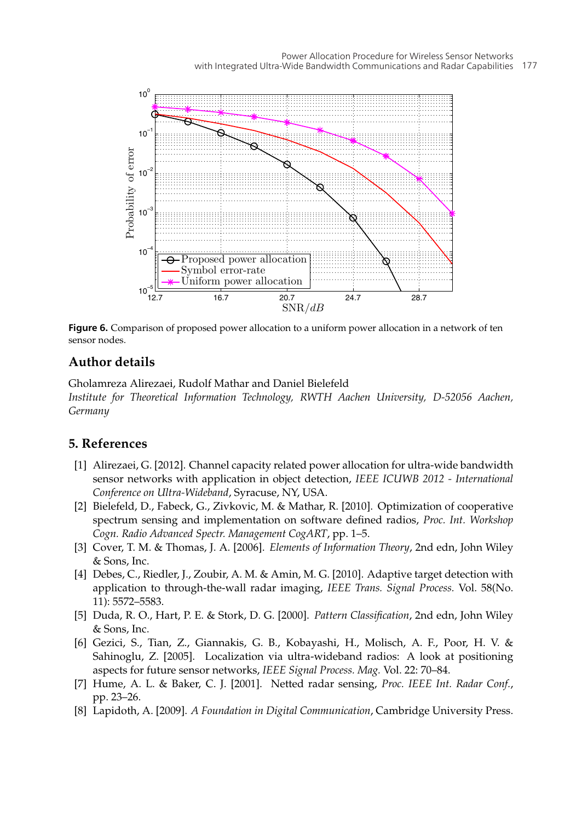

**Figure 6.** Comparison of proposed power allocation to a uniform power allocation in a network of ten sensor nodes.

# **Author details**

Gholamreza Alirezaei, Rudolf Mathar and Daniel Bielefeld

*Institute for Theoretical Information Technology, RWTH Aachen University, D-52056 Aachen, Germany*

# **5. References**

- [1] Alirezaei, G. [2012]. Channel capacity related power allocation for ultra-wide bandwidth sensor networks with application in object detection, *IEEE ICUWB 2012 - International Conference on Ultra-Wideband*, Syracuse, NY, USA.
- [2] Bielefeld, D., Fabeck, G., Zivkovic, M. & Mathar, R. [2010]. Optimization of cooperative spectrum sensing and implementation on software defined radios, *Proc. Int. Workshop Cogn. Radio Advanced Spectr. Management CogART*, pp. 1–5.
- [3] Cover, T. M. & Thomas, J. A. [2006]. *Elements of Information Theory*, 2nd edn, John Wiley & Sons, Inc.
- [4] Debes, C., Riedler, J., Zoubir, A. M. & Amin, M. G. [2010]. Adaptive target detection with application to through-the-wall radar imaging, *IEEE Trans. Signal Process.* Vol. 58(No. 11): 5572–5583.
- [5] Duda, R. O., Hart, P. E. & Stork, D. G. [2000]. *Pattern Classification*, 2nd edn, John Wiley & Sons, Inc.
- [6] Gezici, S., Tian, Z., Giannakis, G. B., Kobayashi, H., Molisch, A. F., Poor, H. V. & Sahinoglu, Z. [2005]. Localization via ultra-wideband radios: A look at positioning aspects for future sensor networks, *IEEE Signal Process. Mag.* Vol. 22: 70–84.
- [7] Hume, A. L. & Baker, C. J. [2001]. Netted radar sensing, *Proc. IEEE Int. Radar Conf.*, pp. 23–26.
- [8] Lapidoth, A. [2009]. *A Foundation in Digital Communication*, Cambridge University Press.